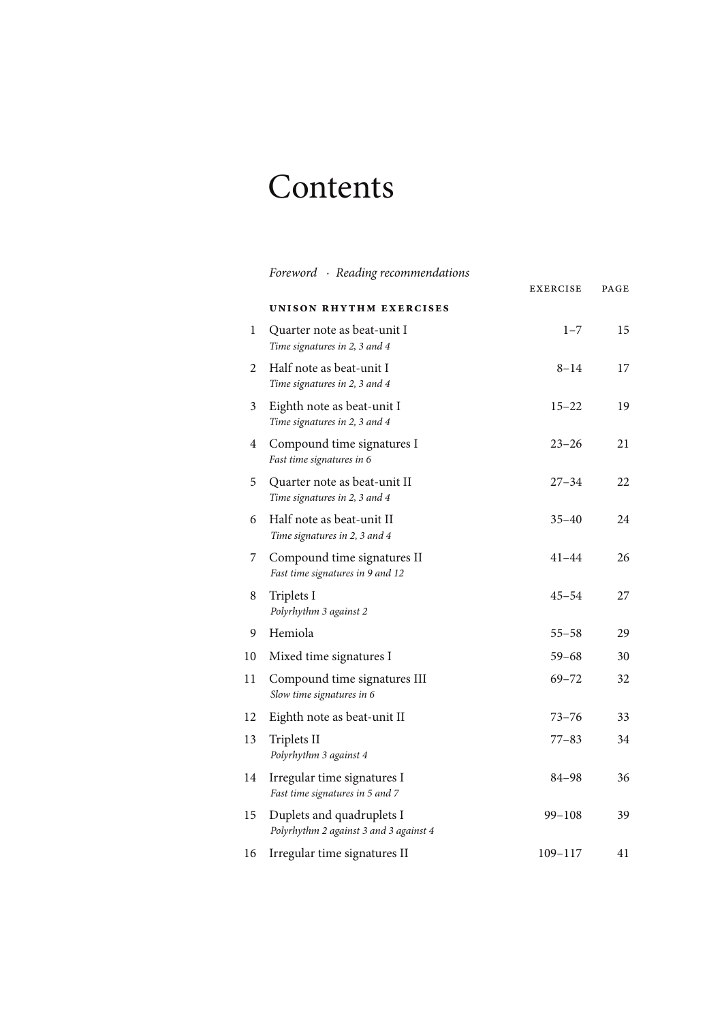## Contents

|    | Foreword · Reading recommendations                                  | <b>EXERCISE</b> | PAGE |
|----|---------------------------------------------------------------------|-----------------|------|
|    | UNISON RHYTHM EXERCISES                                             |                 |      |
| 1  | Quarter note as beat-unit I<br>Time signatures in 2, 3 and 4        | $1 - 7$         | 15   |
| 2  | Half note as beat-unit I<br>Time signatures in 2, 3 and 4           | $8 - 14$        | 17   |
| 3  | Eighth note as beat-unit I<br>Time signatures in 2, 3 and 4         | $15 - 22$       | 19   |
| 4  | Compound time signatures I<br>Fast time signatures in 6             | 23–26           | 21   |
| 5  | Quarter note as beat-unit II<br>Time signatures in 2, 3 and 4       | 27–34           | 22   |
| 6  | Half note as beat-unit II<br>Time signatures in 2, 3 and 4          | $35 - 40$       | 24   |
| 7  | Compound time signatures II<br>Fast time signatures in 9 and 12     | $41 - 44$       | 26   |
| 8  | Triplets I<br>Polyrhythm 3 against 2                                | 45–54           | 27   |
| 9  | Hemiola                                                             | $55 - 58$       | 29   |
| 10 | Mixed time signatures I                                             | 59–68           | 30   |
| 11 | Compound time signatures III<br>Slow time signatures in 6           | $69 - 72$       | 32   |
| 12 | Eighth note as beat-unit II                                         | 73–76           | 33   |
| 13 | Triplets II<br>Polyrhythm 3 against 4                               | $77 - 83$       | 34   |
| 14 | Irregular time signatures I<br>Fast time signatures in 5 and 7      | 84-98           | 36   |
| 15 | Duplets and quadruplets I<br>Polyrhythm 2 against 3 and 3 against 4 | $99 - 108$      | 39   |
| 16 | Irregular time signatures II                                        | 109-117         | 41   |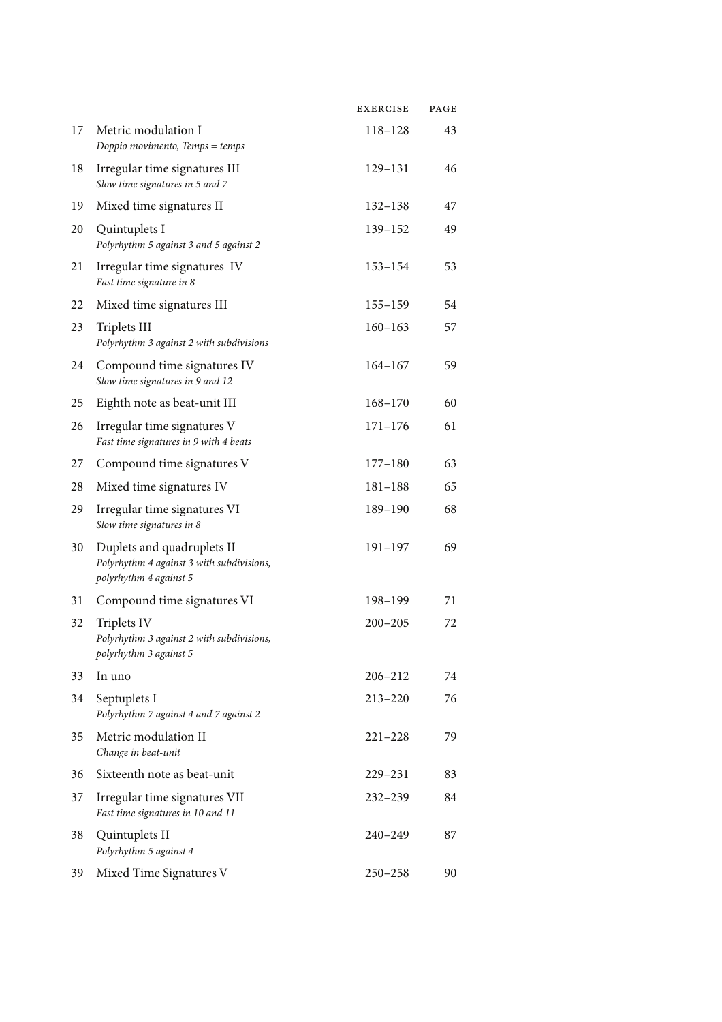|    |                                                                                                   | <b>EXERCISE</b> | PAGE |
|----|---------------------------------------------------------------------------------------------------|-----------------|------|
| 17 | Metric modulation I<br>Doppio movimento, Temps = temps                                            | 118-128         | 43   |
| 18 | Irregular time signatures III<br>Slow time signatures in 5 and 7                                  | 129-131         | 46   |
| 19 | Mixed time signatures II                                                                          | $132 - 138$     | 47   |
| 20 | Quintuplets I<br>Polyrhythm 5 against 3 and 5 against 2                                           | 139-152         | 49   |
| 21 | Irregular time signatures IV<br>Fast time signature in 8                                          | $153 - 154$     | 53   |
| 22 | Mixed time signatures III                                                                         | $155 - 159$     | 54   |
| 23 | Triplets III<br>Polyrhythm 3 against 2 with subdivisions                                          | $160 - 163$     | 57   |
| 24 | Compound time signatures IV<br>Slow time signatures in 9 and 12                                   | $164 - 167$     | 59   |
| 25 | Eighth note as beat-unit III                                                                      | $168 - 170$     | 60   |
| 26 | Irregular time signatures V<br>Fast time signatures in 9 with 4 beats                             | $171 - 176$     | 61   |
| 27 | Compound time signatures V                                                                        | $177 - 180$     | 63   |
| 28 | Mixed time signatures IV                                                                          | $181 - 188$     | 65   |
| 29 | Irregular time signatures VI<br>Slow time signatures in 8                                         | 189-190         | 68   |
| 30 | Duplets and quadruplets II<br>Polyrhythm 4 against 3 with subdivisions,<br>polyrhythm 4 against 5 | $191 - 197$     | 69   |
| 31 | Compound time signatures VI                                                                       | 198-199         | 71   |
| 32 | Triplets IV<br>Polyrhythm 3 against 2 with subdivisions,<br>polyrhythm 3 against 5                | $200 - 205$     | 72   |
| 33 | In uno                                                                                            | 206-212         | 74   |
| 34 | Septuplets I<br>Polyrhythm 7 against 4 and 7 against 2                                            | $213 - 220$     | 76   |
| 35 | Metric modulation II<br>Change in beat-unit                                                       | $221 - 228$     | 79   |
| 36 | Sixteenth note as beat-unit                                                                       | 229-231         | 83   |
| 37 | Irregular time signatures VII<br>Fast time signatures in 10 and 11                                | $232 - 239$     | 84   |
| 38 | Quintuplets II<br>Polyrhythm 5 against 4                                                          | $240 - 249$     | 87   |
| 39 | Mixed Time Signatures V                                                                           | $250 - 258$     | 90   |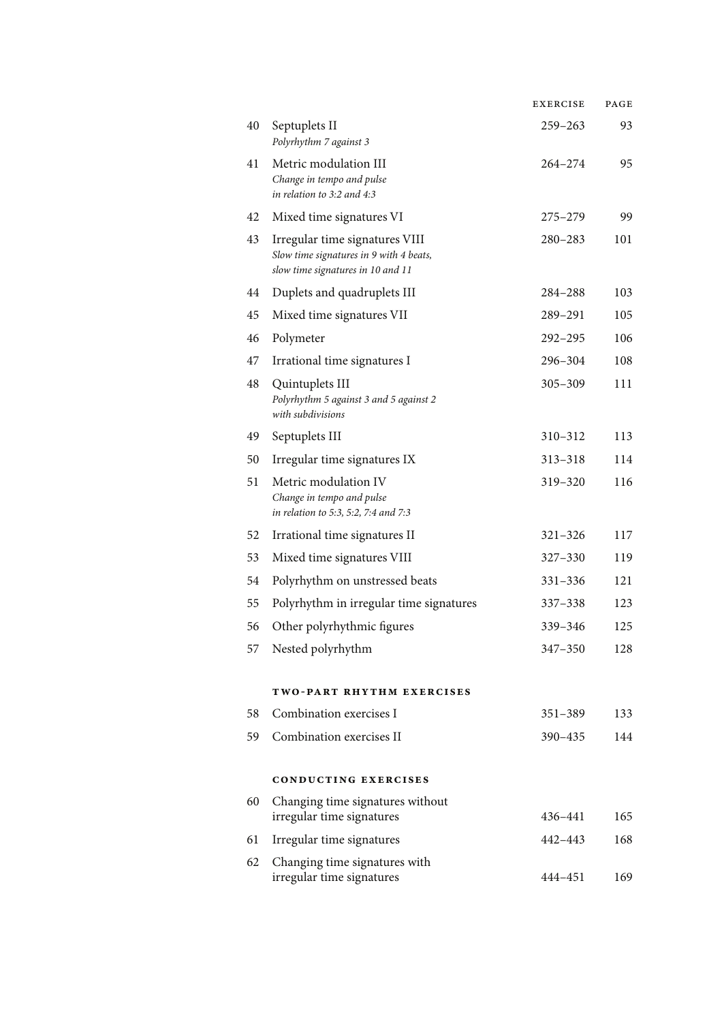|    |                                                                                                                | <b>EXERCISE</b> | PAGE |
|----|----------------------------------------------------------------------------------------------------------------|-----------------|------|
| 40 | Septuplets II<br>Polyrhythm 7 against 3                                                                        | $259 - 263$     | 93   |
| 41 | Metric modulation III<br>Change in tempo and pulse<br>in relation to 3:2 and 4:3                               | $264 - 274$     | 95   |
| 42 | Mixed time signatures VI                                                                                       | $275 - 279$     | 99   |
| 43 | Irregular time signatures VIII<br>Slow time signatures in 9 with 4 beats,<br>slow time signatures in 10 and 11 | $280 - 283$     | 101  |
| 44 | Duplets and quadruplets III                                                                                    | 284-288         | 103  |
| 45 | Mixed time signatures VII                                                                                      | 289-291         | 105  |
| 46 | Polymeter                                                                                                      | $292 - 295$     | 106  |
| 47 | Irrational time signatures I                                                                                   | 296-304         | 108  |
| 48 | Quintuplets III<br>Polyrhythm 5 against 3 and 5 against 2<br>with subdivisions                                 | $305 - 309$     | 111  |
| 49 | Septuplets III                                                                                                 | 310-312         | 113  |
| 50 | Irregular time signatures IX                                                                                   | 313-318         | 114  |
| 51 | Metric modulation IV<br>Change in tempo and pulse<br>in relation to 5:3, 5:2, 7:4 and 7:3                      | 319-320         | 116  |
| 52 | Irrational time signatures II                                                                                  | $321 - 326$     | 117  |
| 53 | Mixed time signatures VIII                                                                                     | 327-330         | 119  |
| 54 | Polyrhythm on unstressed beats                                                                                 | $331 - 336$     | 121  |
| 55 | Polyrhythm in irregular time signatures                                                                        | 337-338         | 123  |
| 56 | Other polyrhythmic figures                                                                                     | 339-346         | 125  |
| 57 | Nested polyrhythm                                                                                              | $347 - 350$     | 128  |
|    | TWO-PART RHYTHM EXERCISES                                                                                      |                 |      |
| 58 | Combination exercises I                                                                                        | $351 - 389$     | 133  |
| 59 | Combination exercises II                                                                                       | 390-435         | 144  |
|    | <b>CONDUCTING EXERCISES</b>                                                                                    |                 |      |
| 60 | Changing time signatures without<br>irregular time signatures                                                  | 436-441         | 165  |
| 61 | Irregular time signatures                                                                                      | 442-443         | 168  |
| 62 | Changing time signatures with<br>irregular time signatures                                                     | 444-451         | 169  |